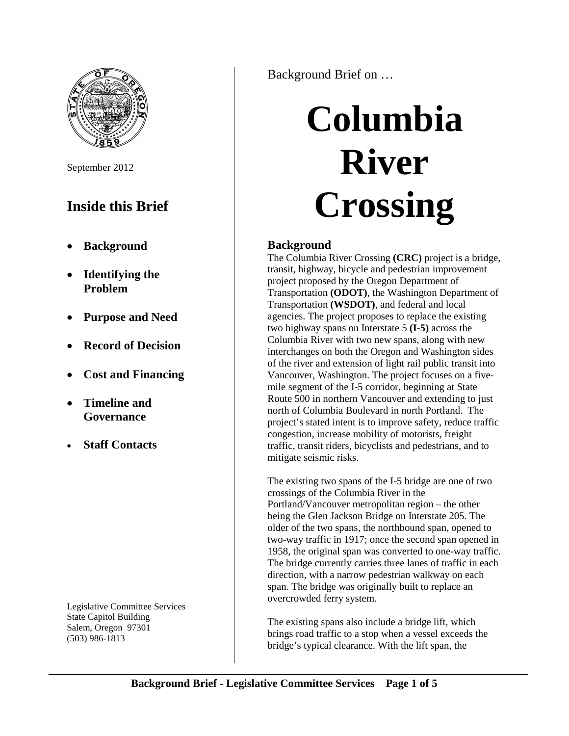

September 2012

## **Inside this Brief**

- **Background**
- **Identifying the Problem**
- **Purpose and Need**
- **Record of Decision**
- **Cost and Financing**
- **Timeline and Governance**
- **Staff Contacts**

Legislative Committee Services State Capitol Building Salem, Oregon 97301 (503) 986-1813

Background Brief on …

# **Columbia River Crossing**

### **Background**

The Columbia River Crossing **(CRC)** project is a bridge, transit, highway, bicycle and pedestrian improvement project proposed by the Oregon Department of Transportation **(ODOT)**, the Washington Department of Transportation **(WSDOT)**, and federal and local agencies. The project proposes to replace the existing two highway spans on Interstate 5 **(I-5)** across the Columbia River with two new spans, along with new interchanges on both the Oregon and Washington sides of the river and extension of light rail public transit into Vancouver, Washington. The project focuses on a fivemile segment of the I-5 corridor, beginning at State Route 500 in northern Vancouver and extending to just north of Columbia Boulevard in north Portland. The project's stated intent is to improve safety, reduce traffic congestion, increase mobility of motorists, freight traffic, transit riders, bicyclists and pedestrians, and to mitigate seismic risks.

The existing two spans of the I-5 bridge are one of two crossings of the Columbia River in the Portland/Vancouver metropolitan region – the other being the Glen Jackson Bridge on Interstate 205. The older of the two spans, the northbound span, opened to two-way traffic in 1917; once the second span opened in 1958, the original span was converted to one-way traffic. The bridge currently carries three lanes of traffic in each direction, with a narrow pedestrian walkway on each span. The bridge was originally built to replace an overcrowded ferry system.

The existing spans also include a bridge lift, which brings road traffic to a stop when a vessel exceeds the bridge's typical clearance. With the lift span, the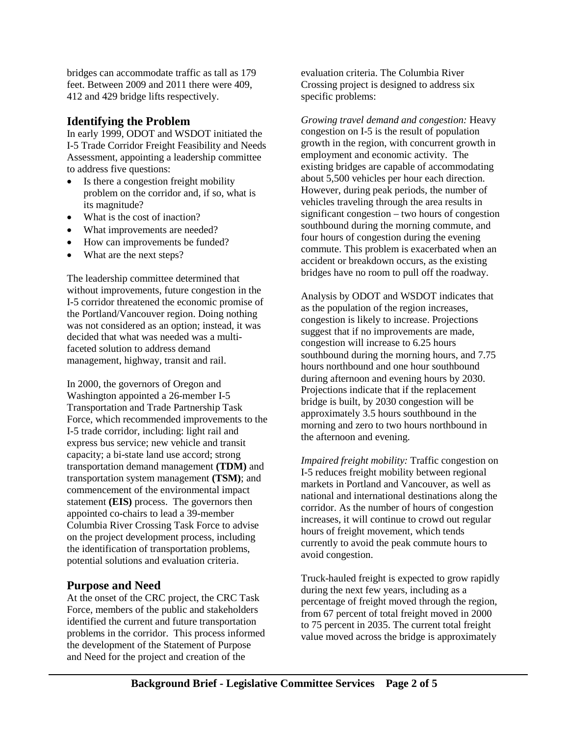bridges can accommodate traffic as tall as 179 feet. Between 2009 and 2011 there were 409, 412 and 429 bridge lifts respectively.

#### **Identifying the Problem**

In early 1999, ODOT and WSDOT initiated the I-5 Trade Corridor Freight Feasibility and Needs Assessment, appointing a leadership committee to address five questions:

- Is there a congestion freight mobility problem on the corridor and, if so, what is its magnitude?
- What is the cost of inaction?
- What improvements are needed?
- How can improvements be funded?
- What are the next steps?

The leadership committee determined that without improvements, future congestion in the I-5 corridor threatened the economic promise of the Portland/Vancouver region. Doing nothing was not considered as an option; instead, it was decided that what was needed was a multifaceted solution to address demand management, highway, transit and rail.

In 2000, the governors of Oregon and Washington appointed a 26-member I-5 Transportation and Trade Partnership Task Force, which recommended improvements to the I-5 trade corridor, including: light rail and express bus service; new vehicle and transit capacity; a bi-state land use accord; strong transportation demand management **(TDM)** and transportation system management **(TSM)**; and commencement of the environmental impact statement **(EIS)** process. The governors then appointed co-chairs to lead a 39-member Columbia River Crossing Task Force to advise on the project development process, including the identification of transportation problems, potential solutions and evaluation criteria.

#### **Purpose and Need**

At the onset of the CRC project, the CRC Task Force, members of the public and stakeholders identified the current and future transportation problems in the corridor. This process informed the development of the Statement of Purpose and Need for the project and creation of the

evaluation criteria. The Columbia River Crossing project is designed to address six specific problems:

*Growing travel demand and congestion:* Heavy congestion on I-5 is the result of population growth in the region, with concurrent growth in employment and economic activity. The existing bridges are capable of accommodating about 5,500 vehicles per hour each direction. However, during peak periods, the number of vehicles traveling through the area results in significant congestion – two hours of congestion southbound during the morning commute, and four hours of congestion during the evening commute. This problem is exacerbated when an accident or breakdown occurs, as the existing bridges have no room to pull off the roadway.

Analysis by ODOT and WSDOT indicates that as the population of the region increases, congestion is likely to increase. Projections suggest that if no improvements are made, congestion will increase to 6.25 hours southbound during the morning hours, and 7.75 hours northbound and one hour southbound during afternoon and evening hours by 2030. Projections indicate that if the replacement bridge is built, by 2030 congestion will be approximately 3.5 hours southbound in the morning and zero to two hours northbound in the afternoon and evening.

*Impaired freight mobility:* Traffic congestion on I-5 reduces freight mobility between regional markets in Portland and Vancouver, as well as national and international destinations along the corridor. As the number of hours of congestion increases, it will continue to crowd out regular hours of freight movement, which tends currently to avoid the peak commute hours to avoid congestion.

Truck-hauled freight is expected to grow rapidly during the next few years, including as a percentage of freight moved through the region, from 67 percent of total freight moved in 2000 to 75 percent in 2035. The current total freight value moved across the bridge is approximately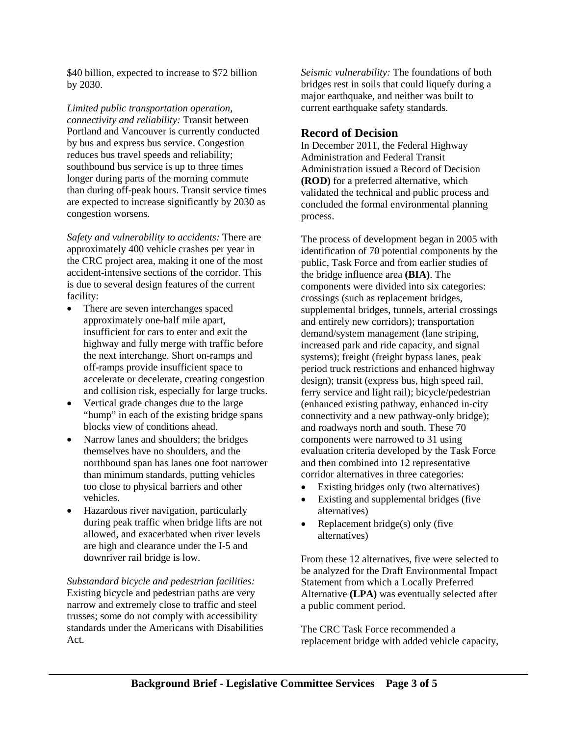\$40 billion, expected to increase to \$72 billion by 2030.

*Limited public transportation operation, connectivity and reliability:* Transit between Portland and Vancouver is currently conducted by bus and express bus service. Congestion reduces bus travel speeds and reliability; southbound bus service is up to three times longer during parts of the morning commute than during off-peak hours. Transit service times are expected to increase significantly by 2030 as congestion worsens.

*Safety and vulnerability to accidents:* There are approximately 400 vehicle crashes per year in the CRC project area, making it one of the most accident-intensive sections of the corridor. This is due to several design features of the current facility:

- There are seven interchanges spaced approximately one-half mile apart, insufficient for cars to enter and exit the highway and fully merge with traffic before the next interchange. Short on-ramps and off-ramps provide insufficient space to accelerate or decelerate, creating congestion and collision risk, especially for large trucks.
- Vertical grade changes due to the large "hump" in each of the existing bridge spans blocks view of conditions ahead.
- Narrow lanes and shoulders; the bridges themselves have no shoulders, and the northbound span has lanes one foot narrower than minimum standards, putting vehicles too close to physical barriers and other vehicles.
- Hazardous river navigation, particularly during peak traffic when bridge lifts are not allowed, and exacerbated when river levels are high and clearance under the I-5 and downriver rail bridge is low.

*Substandard bicycle and pedestrian facilities:*  Existing bicycle and pedestrian paths are very narrow and extremely close to traffic and steel trusses; some do not comply with accessibility standards under the Americans with Disabilities Act.

*Seismic vulnerability:* The foundations of both bridges rest in soils that could liquefy during a major earthquake, and neither was built to current earthquake safety standards.

#### **Record of Decision**

In December 2011, the Federal Highway Administration and Federal Transit Administration issued a Record of Decision **(ROD)** for a preferred alternative, which validated the technical and public process and concluded the formal environmental planning process.

The process of development began in 2005 with identification of 70 potential components by the public, Task Force and from earlier studies of the bridge influence area **(BIA)**. The components were divided into six categories: crossings (such as replacement bridges, supplemental bridges, tunnels, arterial crossings and entirely new corridors); transportation demand/system management (lane striping, increased park and ride capacity, and signal systems); freight (freight bypass lanes, peak period truck restrictions and enhanced highway design); transit (express bus, high speed rail, ferry service and light rail); bicycle/pedestrian (enhanced existing pathway, enhanced in-city connectivity and a new pathway-only bridge); and roadways north and south. These 70 components were narrowed to 31 using evaluation criteria developed by the Task Force and then combined into 12 representative corridor alternatives in three categories:

- Existing bridges only (two alternatives)
- Existing and supplemental bridges (five alternatives)
- Replacement bridge(s) only (five alternatives)

From these 12 alternatives, five were selected to be analyzed for the Draft Environmental Impact Statement from which a Locally Preferred Alternative **(LPA)** was eventually selected after a public comment period.

The CRC Task Force recommended a replacement bridge with added vehicle capacity,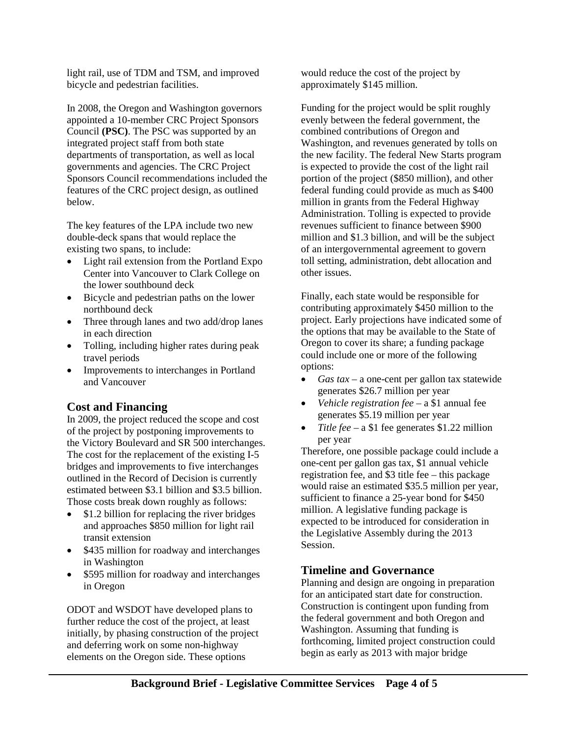light rail, use of TDM and TSM, and improved bicycle and pedestrian facilities.

In 2008, the Oregon and Washington governors appointed a 10-member CRC Project Sponsors Council **(PSC)**. The PSC was supported by an integrated project staff from both state departments of transportation, as well as local governments and agencies. The CRC Project Sponsors Council recommendations included the features of the CRC project design, as outlined below.

The key features of the LPA include two new double-deck spans that would replace the existing two spans, to include:

- Light rail extension from the Portland Expo Center into Vancouver to Clark College on the lower southbound deck
- Bicycle and pedestrian paths on the lower northbound deck
- Three through lanes and two add/drop lanes in each direction
- Tolling, including higher rates during peak travel periods
- Improvements to interchanges in Portland and Vancouver

#### **Cost and Financing**

In 2009, the project reduced the scope and cost of the project by postponing improvements to the Victory Boulevard and SR 500 interchanges. The cost for the replacement of the existing I-5 bridges and improvements to five interchanges outlined in the Record of Decision is currently estimated between \$3.1 billion and \$3.5 billion. Those costs break down roughly as follows:

- \$1.2 billion for replacing the river bridges and approaches \$850 million for light rail transit extension
- \$435 million for roadway and interchanges in Washington
- \$595 million for roadway and interchanges in Oregon

ODOT and WSDOT have developed plans to further reduce the cost of the project, at least initially, by phasing construction of the project and deferring work on some non-highway elements on the Oregon side. These options

would reduce the cost of the project by approximately \$145 million.

Funding for the project would be split roughly evenly between the federal government, the combined contributions of Oregon and Washington, and revenues generated by tolls on the new facility. The federal New Starts program is expected to provide the cost of the light rail portion of the project (\$850 million), and other federal funding could provide as much as \$400 million in grants from the Federal Highway Administration. Tolling is expected to provide revenues sufficient to finance between \$900 million and \$1.3 billion, and will be the subject of an intergovernmental agreement to govern toll setting, administration, debt allocation and other issues.

Finally, each state would be responsible for contributing approximately \$450 million to the project. Early projections have indicated some of the options that may be available to the State of Oregon to cover its share; a funding package could include one or more of the following options:

- *Gas tax* a one-cent per gallon tax statewide generates \$26.7 million per year
- *Vehicle registration fee –* a \$1 annual fee generates \$5.19 million per year
- *Title fee* a \$1 fee generates \$1.22 million per year

Therefore, one possible package could include a one-cent per gallon gas tax, \$1 annual vehicle registration fee, and \$3 title fee – this package would raise an estimated \$35.5 million per year, sufficient to finance a 25-year bond for \$450 million. A legislative funding package is expected to be introduced for consideration in the Legislative Assembly during the 2013 Session.

#### **Timeline and Governance**

Planning and design are ongoing in preparation for an anticipated start date for construction. Construction is contingent upon funding from the federal government and both Oregon and Washington. Assuming that funding is forthcoming, limited project construction could begin as early as 2013 with major bridge